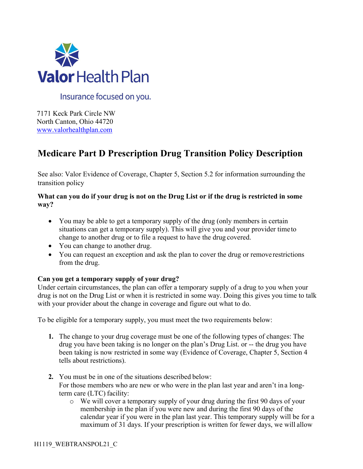

Insurance focused on you.

7171 Keck Park Circle NW North Canton, Ohio 44720 [www.valorhealthplan.com](http://www.valorhealthplan.com/)

# **Medicare Part D Prescription Drug Transition Policy Description**

See also: Valor Evidence of Coverage, Chapter 5, Section 5.2 for information surrounding the transition policy

# **What can you do if your drug is not on the Drug List or if the drug is restricted in some way?**

- You may be able to get a temporary supply of the drug (only members in certain situations can get a temporary supply). This will give you and your provider timeto change to another drug or to file a request to have the drug covered.
- You can change to another drug.
- You can request an exception and ask the plan to cover the drug or remove restrictions from the drug.

# **Can you get a temporary supply of your drug?**

Under certain circumstances, the plan can offer a temporary supply of a drug to you when your drug is not on the Drug List or when it is restricted in some way. Doing this gives you time to talk with your provider about the change in coverage and figure out what to do.

To be eligible for a temporary supply, you must meet the two requirements below:

- **1.** The change to your drug coverage must be one of the following types of changes: The drug you have been taking is no longer on the plan's Drug List. or -- the drug you have been taking is now restricted in some way (Evidence of Coverage, Chapter 5, Section 4 tells about restrictions).
- **2.** You must be in one of the situations described below: For those members who are new or who were in the plan last year and aren't in a longterm care (LTC) facility:
	- o We will cover a temporary supply of your drug during the first 90 days of your membership in the plan if you were new and during the first 90 days of the calendar year if you were in the plan last year. This temporary supply will be for a maximum of 31 days. If your prescription is written for fewer days, we will allow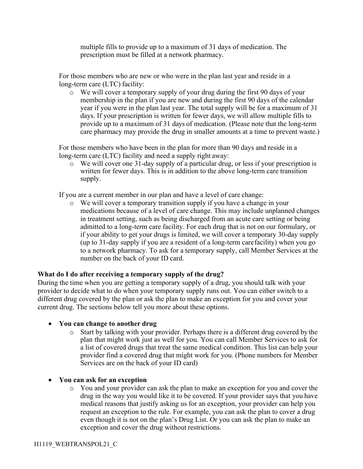multiple fills to provide up to a maximum of 31 days of medication. The prescription must be filled at a network pharmacy.

For those members who are new or who were in the plan last year and reside in a long-term care (LTC) facility:

 $\circ$  We will cover a temporary supply of your drug during the first 90 days of your membership in the plan if you are new and during the first 90 days of the calendar year if you were in the plan last year. The total supply will be for a maximum of 31 days. If your prescription is written for fewer days, we will allow multiple fills to provide up to a maximum of 31 days of medication. (Please note that the long-term care pharmacy may provide the drug in smaller amounts at a time to prevent waste.)

For those members who have been in the plan for more than 90 days and reside in a long-term care (LTC) facility and need a supply right away:

o We will cover one 31-day supply of a particular drug, or less if your prescription is written for fewer days. This is in addition to the above long-term care transition supply.

If you are a current member in our plan and have a level of care change:

o We will cover a temporary transition supply if you have a change in your medications because of a level of care change. This may include unplanned changes in treatment setting, such as being discharged from an acute care setting or being admitted to a long-term care facility. For each drug that is not on our formulary, or if your ability to get your drugs is limited, we will cover a temporary 30-day supply (up to 31-day supply if you are a resident of a long-term carefacility) when you go to a network pharmacy. To ask for a temporary supply, call Member Services at the number on the back of your ID card.

### **What do I do after receiving a temporary supply of the drug?**

During the time when you are getting a temporary supply of a drug, you should talk with your provider to decide what to do when your temporary supply runs out. You can either switch to a different drug covered by the plan or ask the plan to make an exception for you and cover your current drug. The sections below tell you more about these options.

### • **You can change to another drug**

- o Start by talking with your provider. Perhaps there is a different drug covered by the plan that might work just as well for you. You can call Member Services to ask for a list of covered drugs that treat the same medical condition. This list can help your provider find a covered drug that might work for you. (Phone numbers for Member Services are on the back of your ID card)
- **You can ask for an exception**
	- o You and your provider can ask the plan to make an exception for you and cover the drug in the way you would like it to be covered. If your provider says that you have medical reasons that justify asking us for an exception, your provider can help you request an exception to the rule. For example, you can ask the plan to cover a drug even though it is not on the plan's Drug List. Or you can ask the plan to make an exception and cover the drug without restrictions.